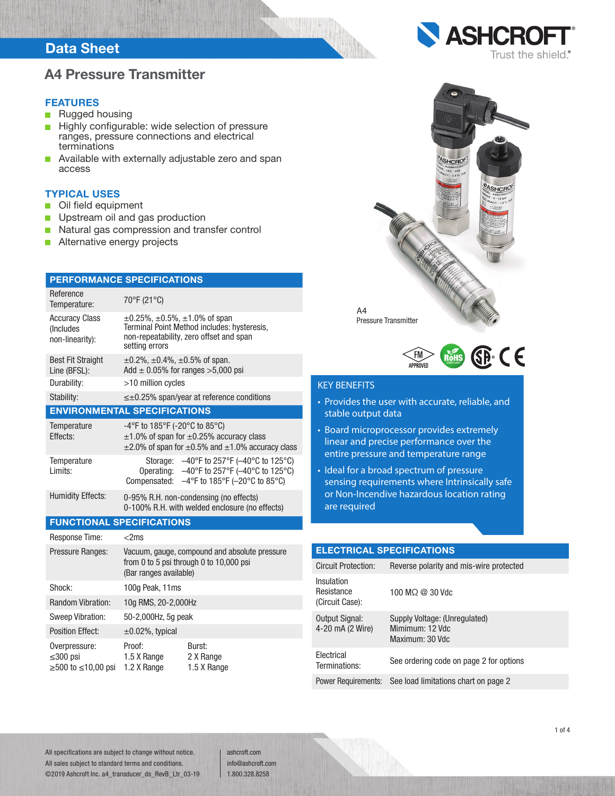### Data Sheet

### A4 Pressure Transmitter

#### **FEATURES**

- **Rugged housing**
- Highly configurable: wide selection of pressure  $\mathcal{L}_{\mathcal{A}}$ ranges, pressure connections and electrical terminations
- Available with externally adjustable zero and span m. access

#### TYPICAL USES

- Oil field equipment  $\Box$
- $\Box$ Upstream oil and gas production
- Natural gas compression and transfer control  $\Box$
- Ē. Alternative energy projects

| <b>PERFORMANCE SPECIFICATIONS</b>                         |                                                                                                                                                              |                                                                                                                                                                     |  |  |
|-----------------------------------------------------------|--------------------------------------------------------------------------------------------------------------------------------------------------------------|---------------------------------------------------------------------------------------------------------------------------------------------------------------------|--|--|
| Reference<br>Temperature:                                 | 70°F (21°C)                                                                                                                                                  |                                                                                                                                                                     |  |  |
| <b>Accuracy Class</b><br>(Includes<br>non-linearity):     | $\pm 0.25\%$ , $\pm 0.5\%$ , $\pm 1.0\%$ of span<br>Terminal Point Method includes: hysteresis,<br>non-repeatability, zero offset and span<br>setting errors |                                                                                                                                                                     |  |  |
| <b>Best Fit Straight</b><br>Line (BFSL):                  | $\pm 0.2\%$ , $\pm 0.4\%$ , $\pm 0.5\%$ of span.<br>Add $\pm$ 0.05% for ranges >5,000 psi                                                                    |                                                                                                                                                                     |  |  |
| Durability:                                               | >10 million cycles                                                                                                                                           |                                                                                                                                                                     |  |  |
| Stability:                                                |                                                                                                                                                              | $\leq \pm 0.25\%$ span/year at reference conditions                                                                                                                 |  |  |
| <b>ENVIRONMENTAL SPECIFICATIONS</b>                       |                                                                                                                                                              |                                                                                                                                                                     |  |  |
| Temperature<br>Fffects:                                   | -4°F to 185°F (-20°C to 85°C)                                                                                                                                | $\pm$ 1.0% of span for $\pm$ 0.25% accuracy class<br>$\pm$ 2.0% of span for $\pm$ 0.5% and $\pm$ 1.0% accuracy class                                                |  |  |
| Temperature<br>I imits:                                   | Storage:<br>Operating:<br>Compensated:                                                                                                                       | $-40^{\circ}$ F to 257°F ( $-40^{\circ}$ C to 125°C)<br>-40°F to 257°F (-40°C to 125°C)<br>$-4^{\circ}$ F to 185 $^{\circ}$ F (-20 $^{\circ}$ C to 85 $^{\circ}$ C) |  |  |
| <b>Humidity Effects:</b>                                  |                                                                                                                                                              | 0-95% R.H. non-condensing (no effects)<br>0-100% R.H. with welded enclosure (no effects)                                                                            |  |  |
| <b>FUNCTIONAL SPECIFICATIONS</b>                          |                                                                                                                                                              |                                                                                                                                                                     |  |  |
| <b>Response Time:</b>                                     | $<$ 2 $ms$                                                                                                                                                   |                                                                                                                                                                     |  |  |
| Pressure Ranges:                                          | Vacuum, gauge, compound and absolute pressure<br>from 0 to 5 psi through 0 to 10,000 psi<br>(Bar ranges available)                                           |                                                                                                                                                                     |  |  |
| Shock:                                                    | 100g Peak, 11ms                                                                                                                                              |                                                                                                                                                                     |  |  |
| Random Vibration:                                         | 10g RMS, 20-2,000Hz                                                                                                                                          |                                                                                                                                                                     |  |  |
| <b>Sweep Vibration:</b>                                   | 50-2,000Hz, 5g peak                                                                                                                                          |                                                                                                                                                                     |  |  |
| <b>Position Effect:</b>                                   | $\pm 0.02\%$ , typical                                                                                                                                       |                                                                                                                                                                     |  |  |
| Overpressure:<br>$\leq$ 300 psi<br>$≥500$ to $≤10,00$ psi | Proof:<br>1.5 X Range<br>1.2 X Range                                                                                                                         | Burst:<br>2 X Range<br>1.5 X Range                                                                                                                                  |  |  |





### KEY BENEFITS

- Provides the user with accurate, reliable, and stable output data
- Board microprocessor provides extremely linear and precise performance over the entire pressure and temperature range
- Ideal for a broad spectrum of pressure sensing requirements where Intrinsically safe or Non-Incendive hazardous location rating are required

| <b>ELECTRICAL SPECIFICATIONS</b>            |                                                                     |  |  |  |  |
|---------------------------------------------|---------------------------------------------------------------------|--|--|--|--|
| <b>Circuit Protection:</b>                  | Reverse polarity and mis-wire protected                             |  |  |  |  |
| Insulation<br>Resistance<br>(Circuit Case): | 100 MO @ 30 Vdc                                                     |  |  |  |  |
| Output Signal:<br>4-20 mA (2 Wire)          | Supply Voltage: (Unregulated)<br>Mimimum: 12 Vdc<br>Maximum: 30 Vdc |  |  |  |  |
| Electrical<br>Terminations:                 | See ordering code on page 2 for options                             |  |  |  |  |
| <b>Power Requirements:</b>                  | See load limitations chart on page 2                                |  |  |  |  |

All specifications are subject to change without notice. All sales subject to standard terms and conditions. ©2019 Ashcroft Inc. a4\_transducer\_ds\_RevB\_Ltr\_03-19 ashcroft.com info@ashcroft.com 1.800.328.8258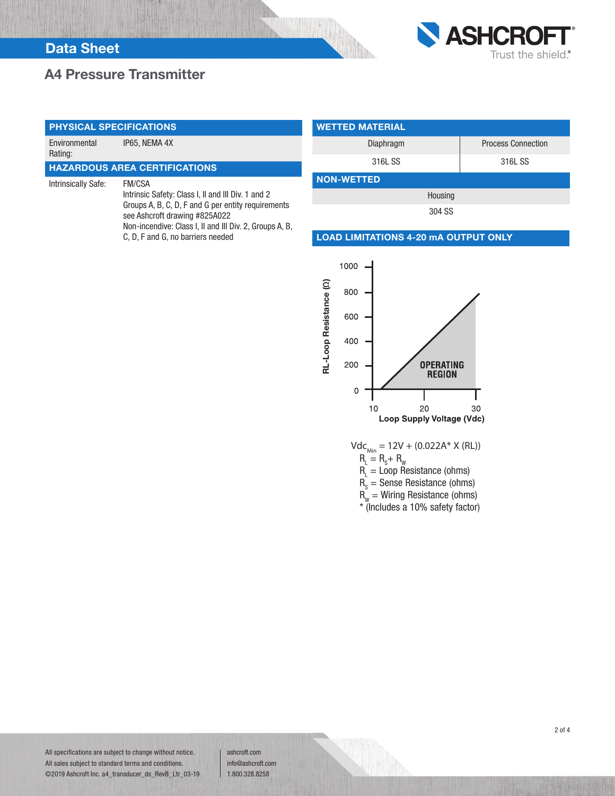## A4 Pressure Transmitter



Environmental Rating: IP65, NEMA 4X

### HAZARDOUS AREA CERTIFICATIONS

Intrinsically Safe: FM/CSA

Intrinsic Safety: Class I, II and III Div. 1 and 2 Groups A, B, C, D, F and G per entity requirements see Ashcroft drawing #825A022 Non-incendive: Class I, II and III Div. 2, Groups A, B, C, D, F and G, no barriers needed

| <b>WETTED MATERIAL</b> |                           |  |  |  |  |  |
|------------------------|---------------------------|--|--|--|--|--|
| Diaphragm              | <b>Process Connection</b> |  |  |  |  |  |
| 316L SS                | 316L SS                   |  |  |  |  |  |
| <b>NON-WETTED</b>      |                           |  |  |  |  |  |
| Housing                |                           |  |  |  |  |  |
| 304 SS                 |                           |  |  |  |  |  |

#### LOAD LIMITATIONS 4-20 mA OUTPUT ONLY



\* (Includes a 10% safety factor)

All specifications are subject to change without notice. All sales subject to standard terms and conditions. ©2019 Ashcroft Inc. a4\_transducer\_ds\_RevB\_Ltr\_03-19 ashcroft.com info@ashcroft.com 1.800.328.8258

2 of 4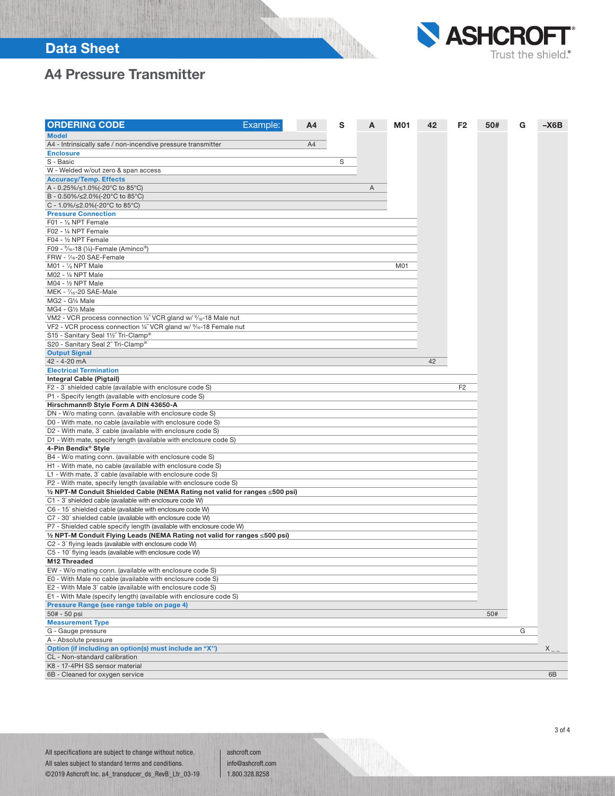## Data Sheet



# A4 Pressure Transmitter

| <b>ORDERING CODE</b>                                                                                                                              | Example: | A4 | s | A | <b>M01</b> | 42 | F <sub>2</sub> | 50# | G | $-X6B$  |
|---------------------------------------------------------------------------------------------------------------------------------------------------|----------|----|---|---|------------|----|----------------|-----|---|---------|
| <b>Model</b>                                                                                                                                      |          |    |   |   |            |    |                |     |   |         |
| A4 - Intrinsically safe / non-incendive pressure transmitter                                                                                      |          | A4 |   |   |            |    |                |     |   |         |
| <b>Enclosure</b>                                                                                                                                  |          |    |   |   |            |    |                |     |   |         |
| S - Basic                                                                                                                                         |          |    | S |   |            |    |                |     |   |         |
| W - Welded w/out zero & span access                                                                                                               |          |    |   |   |            |    |                |     |   |         |
| <b>Accuracy/Temp. Effects</b>                                                                                                                     |          |    |   |   |            |    |                |     |   |         |
| A - 0.25%/≤1.0%(-20°C to 85°C)                                                                                                                    |          |    |   | Α |            |    |                |     |   |         |
| B - 0.50%/≤2.0%(-20°C to 85°C)                                                                                                                    |          |    |   |   |            |    |                |     |   |         |
| C - 1.0%/≤2.0%(-20°C to 85°C)                                                                                                                     |          |    |   |   |            |    |                |     |   |         |
| <b>Pressure Connection</b>                                                                                                                        |          |    |   |   |            |    |                |     |   |         |
| F01 - 1/8 NPT Female                                                                                                                              |          |    |   |   |            |    |                |     |   |         |
| F02 - 1/4 NPT Female                                                                                                                              |          |    |   |   |            |    |                |     |   |         |
| F04 - 1/2 NPT Female                                                                                                                              |          |    |   |   |            |    |                |     |   |         |
| F09 - $\frac{9}{16}$ -18 (1/4)-Female (Aminco®)                                                                                                   |          |    |   |   |            |    |                |     |   |         |
| FRW - $\frac{7}{16}$ -20 SAE-Female                                                                                                               |          |    |   |   |            |    |                |     |   |         |
| $M01 - \frac{1}{8} NPT Male$                                                                                                                      |          |    |   |   | M01        |    |                |     |   |         |
| M02 - 1/4 NPT Male                                                                                                                                |          |    |   |   |            |    |                |     |   |         |
| M04 - 1/2 NPT Male                                                                                                                                |          |    |   |   |            |    |                |     |   |         |
| MEK - $\frac{7}{16}$ -20 SAE-Male                                                                                                                 |          |    |   |   |            |    |                |     |   |         |
| MG2 - G1/4 Male                                                                                                                                   |          |    |   |   |            |    |                |     |   |         |
| MG4 - G1/2 Male                                                                                                                                   |          |    |   |   |            |    |                |     |   |         |
|                                                                                                                                                   |          |    |   |   |            |    |                |     |   |         |
| VM2 - VCR process connection 1/4" VCR gland w/ 9/16-18 Male nut<br>VF2 - VCR process connection 1/4" VCR gland w/ 9/ <sub>16</sub> -18 Female nut |          |    |   |   |            |    |                |     |   |         |
|                                                                                                                                                   |          |    |   |   |            |    |                |     |   |         |
| S15 - Sanitary Seal 11/2" Tri-Clamp®                                                                                                              |          |    |   |   |            |    |                |     |   |         |
| S20 - Sanitary Seal 2" Tri-Clamp®                                                                                                                 |          |    |   |   |            |    |                |     |   |         |
| <b>Output Signal</b>                                                                                                                              |          |    |   |   |            |    |                |     |   |         |
| 42 - 4-20 mA                                                                                                                                      |          |    |   |   |            | 42 |                |     |   |         |
| <b>Electrical Termination</b>                                                                                                                     |          |    |   |   |            |    |                |     |   |         |
| Integral Cable (Pigtail)                                                                                                                          |          |    |   |   |            |    |                |     |   |         |
| F2 - 3' shielded cable (available with enclosure code S)                                                                                          |          |    |   |   |            |    | F <sub>2</sub> |     |   |         |
| P1 - Specify length (available with enclosure code S)                                                                                             |          |    |   |   |            |    |                |     |   |         |
| Hirschmann® Style Form A DIN 43650-A                                                                                                              |          |    |   |   |            |    |                |     |   |         |
| DN - W/o mating conn. (available with enclosure code S)                                                                                           |          |    |   |   |            |    |                |     |   |         |
| D0 - With mate, no cable (available with enclosure code S)                                                                                        |          |    |   |   |            |    |                |     |   |         |
| D2 - With mate, 3' cable (available with enclosure code S)                                                                                        |          |    |   |   |            |    |                |     |   |         |
| D1 - With mate, specify length (available with enclosure code S)                                                                                  |          |    |   |   |            |    |                |     |   |         |
| 4-Pin Bendix® Style                                                                                                                               |          |    |   |   |            |    |                |     |   |         |
| B4 - W/o mating conn. (available with enclosure code S)                                                                                           |          |    |   |   |            |    |                |     |   |         |
| H1 - With mate, no cable (available with enclosure code S)                                                                                        |          |    |   |   |            |    |                |     |   |         |
| L1 - With mate, 3' cable (available with enclosure code S)                                                                                        |          |    |   |   |            |    |                |     |   |         |
| P2 - With mate, specify length (available with enclosure code S)                                                                                  |          |    |   |   |            |    |                |     |   |         |
| 1/2 NPT-M Conduit Shielded Cable (NEMA Rating not valid for ranges ≤500 psi)                                                                      |          |    |   |   |            |    |                |     |   |         |
| C1 - 3' shielded cable (available with enclosure code W)                                                                                          |          |    |   |   |            |    |                |     |   |         |
| C6 - 15' shielded cable (available with enclosure code W)                                                                                         |          |    |   |   |            |    |                |     |   |         |
| C7 - 30' shielded cable (available with enclosure code W)                                                                                         |          |    |   |   |            |    |                |     |   |         |
| P7 - Shielded cable specify length (available with enclosure code W)                                                                              |          |    |   |   |            |    |                |     |   |         |
| 1/2 NPT-M Conduit Flying Leads (NEMA Rating not valid for ranges ≤500 psi)                                                                        |          |    |   |   |            |    |                |     |   |         |
| C2 - 3' flying leads (available with enclosure code W)                                                                                            |          |    |   |   |            |    |                |     |   |         |
| C5 - 10' flying leads (available with enclosure code W)                                                                                           |          |    |   |   |            |    |                |     |   |         |
| M12 Threaded                                                                                                                                      |          |    |   |   |            |    |                |     |   |         |
| EW - W/o mating conn. (available with enclosure code S)                                                                                           |          |    |   |   |            |    |                |     |   |         |
| E0 - With Male no cable (available with enclosure code S)                                                                                         |          |    |   |   |            |    |                |     |   |         |
| E2 - With Male 3' cable (available with enclosure code S)                                                                                         |          |    |   |   |            |    |                |     |   |         |
| E1 - With Male (specify length) (available with enclosure code S)                                                                                 |          |    |   |   |            |    |                |     |   |         |
| Pressure Range (see range table on page 4)                                                                                                        |          |    |   |   |            |    |                |     |   |         |
| 50# - 50 psi                                                                                                                                      |          |    |   |   |            |    |                | 50# |   |         |
| <b>Measurement Type</b>                                                                                                                           |          |    |   |   |            |    |                |     |   |         |
| G - Gauge pressure                                                                                                                                |          |    |   |   |            |    |                |     | G |         |
| A - Absolute pressure                                                                                                                             |          |    |   |   |            |    |                |     |   |         |
| Option (if including an option(s) must include an "X")                                                                                            |          |    |   |   |            |    |                |     |   | $X_{-}$ |
| CL - Non-standard calibration                                                                                                                     |          |    |   |   |            |    |                |     |   |         |
| K8 - 17-4PH SS sensor material                                                                                                                    |          |    |   |   |            |    |                |     |   |         |
| 6B - Cleaned for oxygen service                                                                                                                   |          |    |   |   |            |    |                |     |   | 6B      |

ashcroft.com info@ashcroft.com 1.800.328.8258